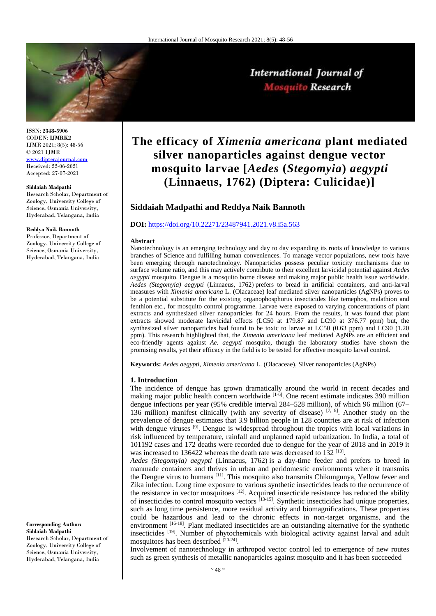

ISSN: **2348-5906** CODEN: **IJMRK2** IJMR 2021; 8(5): 48-56 © 2021 IJMR [www.dipterajournal.com](file://server/d/Mosquito/Issue/8%20Volume/www.dipterajournal.com) Received: 22-06-2021 Accepted: 27-07-2021

#### **Siddaiah Madpathi**

Research Scholar, Department of Zoology, University College of Science, Osmania University, Hyderabad, Telangana, India

#### **Reddya Naik Bannoth**

Professor, Department of Zoology, University College of Science, Osmania University, Hyderabad, Telangana, India

## **Corresponding Author: Siddaiah Madpathi**

Research Scholar, Department of Zoology, University College of Science, Osmania University, Hyderabad, Telangana, India

# **The efficacy of** *Ximenia americana* **plant mediated silver nanoparticles against dengue vector mosquito larvae [***Aedes* **(***Stegomyia***)** *aegypti* **(Linnaeus, 1762) (Diptera: Culicidae)]**

International Journal of Mosquito Research

# **Siddaiah Madpathi and Reddya Naik Bannoth**

# **DOI:** <https://doi.org/10.22271/23487941.2021.v8.i5a.563>

#### **Abstract**

Nanotechnology is an emerging technology and day to day expanding its roots of knowledge to various branches of Science and fulfilling human conveniences. To manage vector populations, new tools have been emerging through nanotechnology. Nanoparticles possess peculiar toxicity mechanisms due to surface volume ratio, and this may actively contribute to their excellent larvicidal potential against *Aedes aegypti* mosquito. Dengue is a mosquito borne disease and making major public health issue worldwide*. Aedes (Stegomyia) aegypti* (Linnaeus, 1762) prefers to bread in artificial containers, and anti-larval measures with *Ximenia americana* L. (Olacaceae) leaf mediated silver nanoparticles (AgNPs) proves to be a potential substitute for the existing organophosphorus insecticides like temephos, malathion and fenthion etc., for mosquito control programme. Larvae were exposed to varying concentrations of plant extracts and synthesized silver nanoparticles for 24 hours. From the results, it was found that plant extracts showed moderate larvicidal effects (LC50 at 179.87 and LC90 at 376.77 ppm) but, the synthesized silver nanoparticles had found to be toxic to larvae at LC50 (0.63 ppm) and LC90 (1.20 ppm). This research highlighted that, the *Ximenia americana* leaf mediated AgNPs are an efficient and eco-friendly agents against *Ae. aegypti* mosquito, though the laboratory studies have shown the promising results, yet their efficacy in the field is to be tested for effective mosquito larval control.

**Keywords:** *Aedes aegypti, Ximenia americana* L. (Olacaceae)*,* Silver nanoparticles (AgNPs)

#### **1. Introduction**

The incidence of dengue has grown dramatically around the world in recent decades and making major public health concern worldwide  $[1\cdot\vec{6}]$ . One recent estimate indicates 390 million dengue infections per year (95% credible interval 284–528 million), of which 96 million (67– 136 million) manifest clinically (with any severity of disease)  $[7, 8]$ . Another study on the prevalence of dengue estimates that 3.9 billion people in 128 countries are at risk of infection with dengue viruses  $[9]$ . Dengue is widespread throughout the tropics with local variations in risk influenced by temperature, rainfall and unplanned rapid urbanization. In India, a total of 101192 cases and 172 deaths were recorded due to dengue for the year of 2018 and in 2019 it was increased to 136422 whereas the death rate was decreased to 132<sup>[10]</sup>.

*Aedes (Stegomyia) aegypti* (Linnaeus, 1762) is a day-time feeder and prefers to breed in manmade containers and thrives in urban and peridomestic environments where it transmits the Dengue virus to humans [11]. This mosquito also transmits Chikungunya, Yellow fever and Zika infection. Long time exposure to various synthetic insecticides leads to the occurrence of the resistance in vector mosquitoes  $[12]$ . Acquired insecticide resistance has reduced the ability of insecticides to control mosquito vectors <sup>[13-15]</sup>. Synthetic insecticides had unique properties, such as long time persistence, more residual activity and biomagnifications. These properties could be hazardous and lead to the chronic effects in non-target organisms, and the environment [16-18]. Plant mediated insecticides are an outstanding alternative for the synthetic insecticides <sup>[19]</sup>. Number of phytochemicals with biological activity against larval and adult mosquitoes has been described [20-24].

Involvement of nanotechnology in arthropod vector control led to emergence of new routes such as green synthesis of metallic nanoparticles against mosquito and it has been succeeded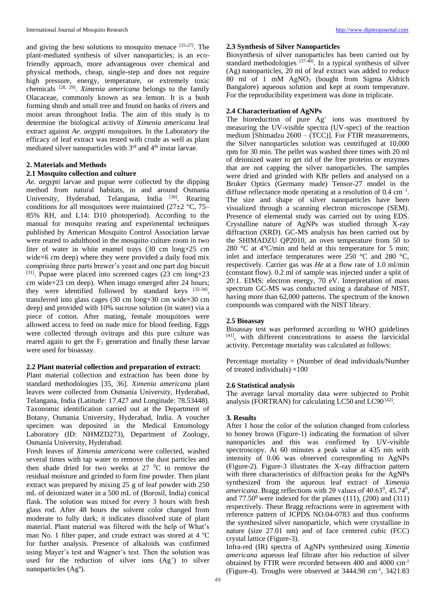and giving the best solutions to mosquito menace [25-27]. The plant-mediated synthesis of silver nanoparticles; is an ecofriendly approach, more advantageous over chemical and physical methods, cheap, single-step and does not require high pressure, energy, temperature, or extremely toxic chemicals [28, 29] . *Ximenia americana* belongs to the family Olacaceae, commonly known as sea lemon. It is a bush forming shrub and small tree and found on banks of rivers and moist areas throughout India. The aim of this study is to determine the biological activity of *Ximenia americana* leaf extract against *Ae. aegypti* mosquitoes. In the Laboratory the efficacy of leaf extract was tested with crude as well as plant mediated silver nanoparticles with 3<sup>rd</sup> and 4<sup>th</sup> instar larvae.

# **2. Materials and Methods**

# **2.1 Mosquito collection and culture**

*Ae. aegypti* larvae and pupae were collected by the dipping method from natural habitats, in and around Osmania University, Hyderabad, Telangana, India <sup>[30]</sup>. Rearing conditions for all mosquitoes were maintained (27 $\pm$ 2 °C, 75– 85% RH, and L14: D10 photoperiod). According to the manual for mosquito rearing and experimental techniques published by American Mosquito Control Association larvae were reared to adulthood in the mosquito culture room in two liter of water in white enamel trays (30 cm long×25 cm wide×6 cm deep) where they were provided a daily food mix comprising three parts brewer's yeast and one part dog biscuit [31]. Pupae were placed into screened cages (23 cm long×23 cm wide×23 cm deep). When imago emerged after 24 hours; they were identified followed by standard keys  $[32-34]$ , transferred into glass cages (30 cm long×30 cm wide×30 cm deep) and provided with 10% sucrose solution (in water) via a piece of cotton. After mating, female mosquitoes were allowed access to feed on nude mice for blood feeding. Eggs were collected through ovitraps and this pure culture was reared again to get the  $F_1$  generation and finally these larvae were used for bioassay.

## **2.2 Plant material collection and preparation of extract:**

Plant material collection and extraction has been done by standard methodologies [35, 36]. *Ximenia americana* plant leaves were collected from Osmania University, Hyderabad, Telangana, India (Latitude: 17.427 and Longitude: 78.53448). Taxonomic identification carried out at the Department of Botany, Osmania University, Hyderabad, India. A voucher specimen was deposited in the Medical Entomology Laboratory (ID: NHMZD273), Department of Zoology, Osmania University, Hyderabad.

Fresh leaves of *Ximenia americana* were collected, washed several times with tap water to remove the dust particles and then shade dried for two weeks at  $27\degree$ C to remove the residual moisture and grinded to form fine powder. Then plant extract was prepared by mixing 25 g of leaf powder with 250 mL of deionized water in a 500 mL of (Borosil, India) conical flask. The solution was mixed for every 3 hours with fresh glass rod. After 48 hours the solvent color changed from moderate to fully dark; it indicates dissolved state of plant material. Plant material was filtered with the help of What's man No. 1 filter paper, and crude extract was stored at  $4 \text{ }^{\circ}\text{C}$ for further analysis. Presence of alkaloids was confirmed using Mayer's test and Wagner's test. Then the solution was used for the reduction of silver ions  $(Ag^+)$  to silver nanoparticles (Ag<sup>o</sup>).

# **2.3 Synthesis of Silver Nanoparticles**

Biosynthesis of silver nanoparticles has been carried out by standard methodologies  $[37-40]$ . In a typical synthesis of silver (Ag) nanoparticles, 20 ml of leaf extract was added to reduce 80 ml of 1 mM AgNO<sub>3</sub> (bought from Sigma Aldrich Bangalore) aqueous solution and kept at room temperature. For the reproducibility experiment was done in triplicate.

# **2.4 Characterization of AgNPs**

The bioreduction of pure  $Ag<sup>+</sup>$  ions was monitored by measuring the UV-visible spectra (UV-spec) of the reaction medium [Shimadzu 2600 – (TCC)]. For FTIR measurements, the Silver nanoparticles solution was centrifuged at 10,000 rpm for 30 min. The pellet was washed three times with 20 ml of deionized water to get rid of the free proteins or enzymes that are not capping the silver nanoparticles. The samples were dried and grinded with KBr pellets and analysed on a Bruker Optics (Germany made) Tensor-27 model in the diffuse reflectance mode operating at a resolution of  $0.4 \text{ cm}^{-1}$ . The size and shape of silver nanoparticles have been visualized through a scanning electron microscope (SEM). Presence of elemental study was carried out by using EDS. Crystalline nature of AgNPs was studied through X-ray diffraction (XRD). GC-MS analysis has been carried out by the SHIMADZU QP2010, an oven temperature from 50 to 280 °C at  $4^{\circ}$ C/min and held at this temperature for 5 min; inlet and interface temperatures were 250 °C and 280 °C, respectively. Carrier gas was *He* at a flow rate of 1.0 ml/min (constant flow). 0.2 ml of sample was injected under a split of 20:1. EIMS: electron energy, 70 eV. Interpretation of mass spectrum GC-MS was conducted using a database of NIST, having more than 62,000 patterns. The spectrum of the known compounds was compared with the NIST library.

#### **2.5 Bioassay**

Bioassay test was performed according to WHO guidelines [41], with different concentrations to assess the larvicidal activity. Percentage mortality was calculated as follows:

Percentage mortality  $=$  (Number of dead individuals/Number of treated individuals)  $\times$ 100

# **2.6 Statistical analysis**

The average larval mortality data were subjected to Probit analysis (FORTRAN) for calculating LC50 and LC90<sup>[42]</sup>.

#### **3. Results**

After 1 hour the color of the solution changed from colorless to honey brown (Figure-1) indicating the formation of silver nanoparticles and this was confirmed by UV-visible spectroscopy. At 60 minutes a peak value at 435 nm with intensity of 0.06 was observed corresponding to AgNPs (Figure-2). Figure-3 illustrates the X-ray diffraction pattern with three characteristics of diffraction peaks for the AgNPs synthesized from the aqueous leaf extract of *Ximenia*  americana. Bragg reflections with  $2\theta$  values of  $40.63^{\circ}$ ,  $45.74^{\circ}$ , and  $77.50^{\circ}$  were indexed for the planes (111), (200) and (311) respectively. These Bragg refractions were in agreement with reference pattern of JCPDS NO.04-0783 and thus conforms the synthesized silver nanoparticle, which were crystalline in nature (size 27.01 nm) and of face centered cubic (FCC) crystal lattice (Figure-3).

Infra-red (IR) spectra of AgNPs synthesized using *Ximenia americana* aqueous leaf filtrate after bio reduction of silver obtained by FTIR were recorded between 400 and 4000 cm-1 (Figure-4). Troughs were observed at 3444.98 cm-1 , 3421.83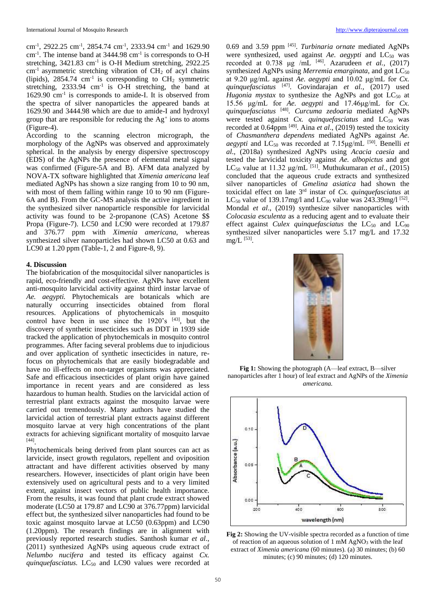cm-1 , 2922.25 cm-1 , 2854.74 cm-1 , 2333.94 cm-1 and 1629.90 cm<sup>-1</sup>. The intense band at 3444.98 cm<sup>-1</sup> is corresponds to O-H stretching, 3421.83 cm<sup>-1</sup> is O-H Medium stretching, 2922.25  $cm<sup>-1</sup>$  asymmetric stretching vibration of  $CH<sub>2</sub>$  of acyl chains (lipids),  $2854.74 \text{ cm}^{-1}$  is corresponding to  $\text{CH}_2$  symmetric stretching,  $2333.94$  cm<sup>-1</sup> is O-H stretching, the band at 1629.90 cm<sup>-1</sup> is corresponds to amide-I. It is observed from the spectra of silver nanoparticles the appeared bands at 1629.90 and 3444.98 which are due to amide-I and hydroxyl group that are responsible for reducing the  $Ag<sup>+</sup>$  ions to atoms (Figure-4).

According to the scanning electron micrograph, the morphology of the AgNPs was observed and approximately spherical. In the analysis by energy dispersive spectroscopy (EDS) of the AgNPs the presence of elemental metal signal was confirmed (Figure-5A and B). AFM data analyzed by NOVA-TX software highlighted that *Ximenia americana* leaf mediated AgNPs has shown a size ranging from 10 to 90 nm, with most of them falling within range 10 to 90 nm (Figure-6A and B). From the GC-MS analysis the active ingredient in the synthesized silver nanoparticle responsible for larvicidal activity was found to be 2-propanone (CAS) Acetone \$\$ Propa (Figure-7). LC50 and LC90 were recorded at 179.87 and 376.77 ppm with *Ximenia americana*, whereas synthesized silver nanoparticles had shown LC50 at 0.63 and LC90 at 1.20 ppm (Table-1, 2 and Figure-8, 9).

#### **4. Discussion**

The biofabrication of the mosquitocidal silver nanoparticles is rapid, eco-friendly and cost-effective. AgNPs have excellent anti-mosquito larvicidal activity against third instar larvae of *Ae. aegypti.* Phytochemicals are botanicals which are naturally occurring insecticides obtained from floral resources. Applications of phytochemicals in mosquito control have been in use since the 1920's [43], but the discovery of synthetic insecticides such as DDT in 1939 side tracked the application of phytochemicals in mosquito control programmes. After facing several problems due to injudicious and over application of synthetic insecticides in nature, refocus on phytochemicals that are easily biodegradable and have no ill-effects on non-target organisms was appreciated. Safe and efficacious insecticides of plant origin have gained importance in recent years and are considered as less hazardous to human health. Studies on the larvicidal action of terrestrial plant extracts against the mosquito larvae were carried out tremendously. Many authors have studied the larvicidal action of terrestrial plant extracts against different mosquito larvae at very high concentrations of the plant extracts for achieving significant mortality of mosquito larvae [44] .

Phytochemicals being derived from plant sources can act as larvicide, insect growth regulators, repellent and oviposition attractant and have different activities observed by many researchers. However, insecticides of plant origin have been extensively used on agricultural pests and to a very limited extent, against insect vectors of public health importance. From the results, it was found that plant crude extract showed moderate (LC50 at 179.87 and LC90 at 376.77ppm) larvicidal effect but, the synthesized silver nanoparticles had found to be toxic against mosquito larvae at LC50 (0.63ppm) and LC90 (1.20ppm). The research findings are in alignment with previously reported research studies. Santhosh kumar *et al*., (2011) synthesized AgNPs using aqueous crude extract of *Nelumbo nucifera* and tested its efficacy against *Cx. quinquefasciatus.* LC<sub>50</sub> and LC90 values were recorded at

0.69 and 3.59 ppm [45] . *Turbinaria ornate* mediated AgNPs were synthesized, used against *Ae. aegypti* and  $LC_{50}$  was recorded at 0.738 μg /mL [46]. Azarudeen *et al.,* (2017) synthesized AgNPs using *Merremia emarginata*, and got  $LC_{50}$ at 9.20 μg/mL against *Ae. aegypti* and 10.02 μg/mL for *Cx. quinquefasciatus* [47]. Govindarajan *et al.,* (2017) used *Hugonia mystax* to synthesize the AgNPs and got  $LC_{50}$  at 15.56 μg/mL for *Ae. aegypti* and 17.46μg/mL for *Cx. quinquefasciatus* [48] . *Curcuma zedoaria* mediated AgNPs were tested against *Cx. quinquefasciatus* and LC<sub>50</sub> was recorded at 0.64ppm<sup>[49]</sup>. Aina *et al.*, (2019) tested the toxicity of *Chasmanthera dependens* mediated AgNPs against *Ae. aegypti* and  $LC_{50}$  was recorded at  $7.15\mu\text{g/mL}$  [50]. Benelli *et al*., (2018a) synthesized AgNPs using *Acacia caesia* and tested the larvicidal toxicity against *Ae. albopictus* and got LC<sub>50</sub> value at 11.32  $\mu$ g/mL<sup>[51]</sup>. Muthukumaran *et al.*, (2015) concluded that the aqueous crude extracts and synthesized silver nanoparticles of *Gmelina asiatica* had shown the toxicidal effect on late 3rd instar of *Cx. quinquefasciatus* at LC<sub>50</sub> value of 139.17mg/l and LC<sub>90</sub> value was 243.39mg/l<sup>[52]</sup>. Mondal *et al*., (2019) synthesize silver nanoparticles with *Colocasia esculenta* as a reducing agent and to evaluate their effect against *Culex quinquefasciatus* the LC<sub>50</sub> and LC<sub>90</sub> synthesized silver nanoparticles were 5.17 mg/L and 17.32  $mg/L$ <sup>[53]</sup>.



**Fig 1:** Showing the photograph (A—leaf extract, B—silver nanoparticles after 1 hour) of leaf extract and AgNPs of the *Ximenia americana.*



**Fig 2:** Showing the UV-visible spectra recorded as a function of time of reaction of an aqueous solution of 1 mM AgNO<sup>3</sup> with the leaf extract of *Ximenia americana* (60 minutes). (a) 30 minutes; (b) 60 minutes; (c) 90 minutes; (d) 120 minutes.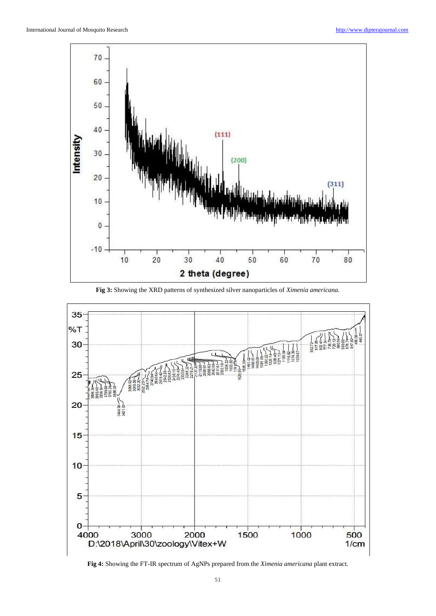

**Fig 3:** Showing the XRD patterns of synthesized silver nanoparticles of *Ximenia americana.*



**Fig 4:** Showing the FT-IR spectrum of AgNPs prepared from the *Ximenia americana* plant extract.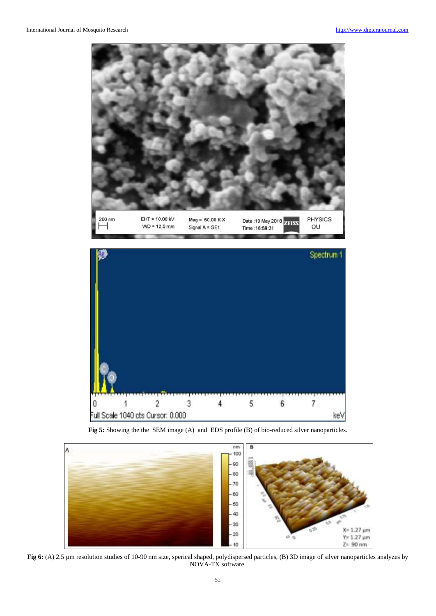



**Fig 5:** Showing the the SEM image (A) and EDS profile (B) of bio-reduced silver nanoparticles.



**Fig 6:** (A) 2.5 µm resolution studies of 10-90 nm size, sperical shaped, polydispersed particles, (B) 3D image of silver nanoparticles analyzes by NOVA-TX software.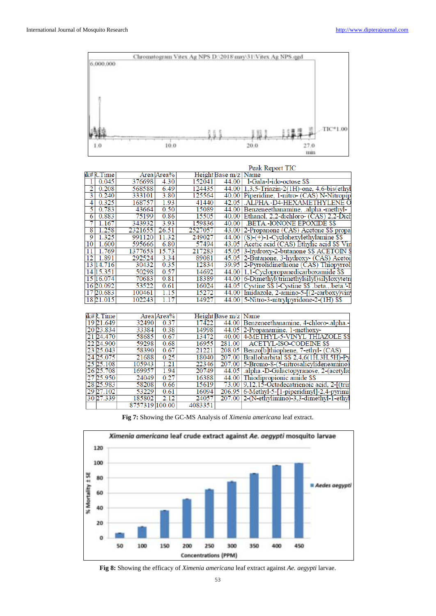

|                |            |                |            |         |                      | Peak Report TIC                                   |
|----------------|------------|----------------|------------|---------|----------------------|---------------------------------------------------|
|                | ık# R.Time |                | Area Area% |         | Height Base m/z Name |                                                   |
| 1              | 0.045      | 376698         | 4.30       | 152041  | 44.00                | 1-Gala-1-ido-octose \$\$                          |
| 2              | 0.208      | 568588         | 6.49       | 124435  |                      | 44.00 1,3,5-Triazin-2(1H)-one, 4,6-bis(ethyl      |
| 3              | 0.240      | 333101         | 3.80       | 125564  |                      | 40.00 Piperidine, 1-nitro- (CAS) N-Nitropip       |
| 4              | 0.325      | 168757         | 1.93       | 41440   | 42.05                | .ALPHA.-D4-HEXAMETHYLENE O                        |
| 5              | 0.783      | 43664          | 0.50       | 15089   | 44.00                | Benzeneethanamine, .alpha.-methyl-                |
| $\overline{6}$ | 0.883      | 75199          | 0.86       | 15505   |                      | 40.00 Ethanol, 2.2-dichloro- (CAS) 2.2-Dich       |
| 7              | 1.167      | 343932         | 3.93       | 159836  | 40.00                | <b>BETA-IONONE EPOXIDE \$\$</b>                   |
| 8              | 1.258      | 2321655        | 26.51      | 2527057 |                      | 43.00 2-Propanone (CAS) Acetone \$\$ propa        |
| 9              | 1.325      | 991120         | 11.32      | 249027  |                      | $44.00$ (S)- $(+)$ -1-Cyclohexylethylamine \$\$   |
| 10             | 1.600      | 595666         | 6.80       | 57494   |                      | 43.05 Acetic acid (CAS) Ethylic acid \$\$ Vin     |
| 11             | 1.769      | 1377653        | 15.73      | 217283  |                      | 45.05 3-hydroxy-2-butanone \$\$ ACETOIN \$        |
| 12             | 1.891      | 292524         | 3.34       | 89081   |                      | 45.05 2-Butanone, 3-hydroxy- (CAS) Acetoi         |
|                | 13 14.716  | 30432          | 0.35       | 12834   |                      | 39.95 2-Pyrrolidinethione (CAS) Thiopyrrol        |
|                | 14 15.351  | 50298          | 0.57       | 14692   |                      | 44.00 1,1-Cyclopropanedicarboxamide \$\$          |
|                | 15 16.074  | 70683          | 0.81       | 18389   |                      | 44.00 6-Dimethyl(trimethylsilyl)silyloxytetra     |
|                | 16 20.092  | 53522          | 0.61       | 16024   |                      | 44.05 Cystine \$\$1-Cystine \$\$ .beta., beta.'-I |
|                | 17 20.683  | 100461         | 1.15       | 15272   |                      | 44.00 Imidazole, 2-amino-5-[(2-carboxy)vin        |
|                | 18 21.015  | 102243         | 1.17       | 14927   |                      | $44.00$ 5-Nitro-3-nitrylpyridone-2- $(1H)$ \$\$   |
|                |            |                |            |         |                      |                                                   |
|                | ik# R.Time |                | Area Area% |         | Height Base m/z Name |                                                   |
|                | 19 21.649  | 32490          | 0.37       | 17422   |                      | 44.00 Benzeneethanamine, 4-chloro-.alpha.         |
|                | 20 23.834  | 33384          | 0.38       | 14998   |                      | 44.05 2-Propanamine, 1-methoxy-                   |
|                | 21 24.470  | 58685          | 0.67       | 13472   |                      | 40.00 4-METHYL-5-VINYL THIAZOLE \$\$              |
|                | 22 24.900  | 59298          | 0.68       | 16955   | 281.00               | <b>ACETYL-ISO-CODEINE \$\$</b>                    |
|                | 23 25.043  | 58390          | 0.67       | 21221   |                      | 208.05 Benzo b thiophene, 7-ethyl- (CAS)          |
|                | 24 25.075  | 21688          | 0.25       | 18040   | 207.00               | Brallobarbital \$\$ 2,4,6(1H,3H,5H)-Py            |
|                | 25 25.108  | 105943         | 1.21       | 22346   | 207.00               | 5-Bromo-8 (5-nitrosalicylideneamino)              |
|                | 26 25.708  | 169957         | 1.94       | 20749   | 44.05                | .alpha.-D-Galactopyranose, 2-(acetyla:            |
|                | 27 25.950  | 24049          | 0.27       | 16388   | 44.00                | Thiodipropionic amide \$\$                        |
|                | 28 25.983  | 58208          | 0.66       | 15619   | 73.00                | 9,12,15-Octadecatrienoic acid, 2-[(trin           |
|                | 29 27.102  | 53229          | 0.61       | 16094   | 206.95               | 6-Methyl-5-[1-piperidinyl]-2,4-pyrimi             |
|                | 30 27.339  | 185802         | 2.12       | 24057   | 207.00               | 2-(N-ethylimino)-3,3-dimethyl-1-ethyl             |
|                |            | 8757319 100.00 |            | 4083351 |                      |                                                   |

**Fig 7:** Showing the GC-MS Analysis of *Ximenia americana* leaf extract.



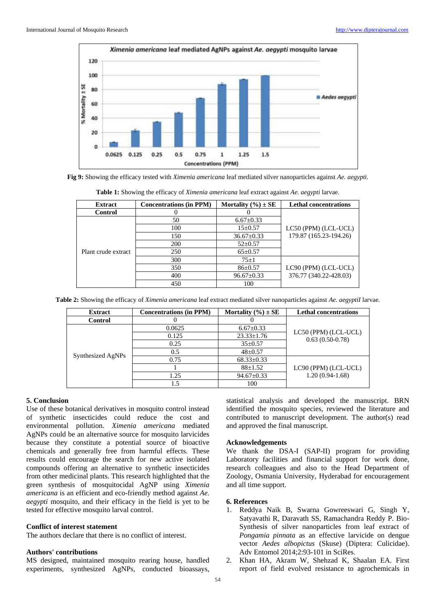

**Fig 9:** Showing the efficacy tested with *Ximenia americana* leaf mediated silver nanoparticles against *Ae. aegypti.*

| <b>Extract</b>      | <b>Concentrations (in PPM)</b> | Mortality $(\% ) \pm SE$ | <b>Lethal concentrations</b> |  |  |
|---------------------|--------------------------------|--------------------------|------------------------------|--|--|
| <b>Control</b>      |                                |                          |                              |  |  |
|                     | 50                             | $6.67 \pm 0.33$          |                              |  |  |
|                     | 100                            | $15 \pm 0.57$            | LC50 (PPM) (LCL-UCL)         |  |  |
|                     | 150                            | $36.67 \pm 0.33$         | 179.87 (165.23-194.26)       |  |  |
|                     | 200                            | $52 \pm 0.57$            |                              |  |  |
| Plant crude extract | 250                            | $65 \pm 0.57$            |                              |  |  |
|                     | 300                            | $75+1$                   |                              |  |  |
|                     | 350                            | $86 \pm 0.57$            | LC90 (PPM) (LCL-UCL)         |  |  |
|                     | 400                            | $96.67 \pm 0.33$         | 376.77 (340.22-428.03)       |  |  |
|                     | 450                            | 100                      |                              |  |  |

**Table 1:** Showing the efficacy of *Ximenia americana* leaf extract against *Ae. aegypti* larvae.

| Table 2: Showing the efficacy of Ximenia americana leaf extract mediated silver nanoparticles against Ae. aegyptil larvae. |  |  |  |  |
|----------------------------------------------------------------------------------------------------------------------------|--|--|--|--|
|                                                                                                                            |  |  |  |  |

| <b>Extract</b>    | <b>Concentrations (in PPM)</b> | Mortality $(\% ) \pm SE$ | <b>Lethal concentrations</b>              |  |
|-------------------|--------------------------------|--------------------------|-------------------------------------------|--|
| <b>Control</b>    |                                |                          |                                           |  |
|                   | 0.0625                         | $6.67 \pm 0.33$          |                                           |  |
|                   | 0.125                          | $23.33 \pm 1.76$         | LC50 (PPM) (LCL-UCL)<br>$0.63(0.50-0.78)$ |  |
|                   | 0.25                           | $35 \pm 0.57$            |                                           |  |
| Synthesized AgNPs | 0.5                            | $48 \pm 0.57$            |                                           |  |
|                   | 0.75                           | $68.33 \pm 0.33$         |                                           |  |
|                   |                                | $88 \pm 1.52$            | LC90 (PPM) (LCL-UCL)                      |  |
|                   | 1.25                           | $94.67 \pm 0.33$         | $1.20(0.94-1.68)$                         |  |
|                   |                                | 100                      |                                           |  |

# **5. Conclusion**

Use of these botanical derivatives in mosquito control instead of synthetic insecticides could reduce the cost and environmental pollution. *Ximenia americana* mediated AgNPs could be an alternative source for mosquito larvicides because they constitute a potential source of bioactive chemicals and generally free from harmful effects. These results could encourage the search for new active isolated compounds offering an alternative to synthetic insecticides from other medicinal plants. This research highlighted that the green synthesis of mosquitocidal AgNP using *Ximenia americana* is an efficient and eco-friendly method against *Ae. aegypti* mosquito, and their efficacy in the field is yet to be tested for effective mosquito larval control.

#### **Conflict of interest statement**

The authors declare that there is no conflict of interest.

### **Authors' contributions**

MS designed, maintained mosquito rearing house, handled experiments, synthesized AgNPs, conducted bioassays,

statistical analysis and developed the manuscript. BRN identified the mosquito species, reviewed the literature and contributed to manuscript development. The author(s) read and approved the final manuscript.

#### **Acknowledgements**

We thank the DSA-I (SAP-II) program for providing Laboratory facilities and financial support for work done, research colleagues and also to the Head Department of Zoology, Osmania University, Hyderabad for encouragement and all time support.

# **6. References**

- 1. Reddya Naik B, Swarna Gowreeswari G, Singh Y, Satyavathi R, Daravath SS, Ramachandra Reddy P. Bio-Synthesis of silver nanoparticles from leaf extract of *Pongamia pinnata* as an effective larvicide on dengue vector *Aedes albopictus* (Skuse) (Diptera: Culicidae). Adv Entomol 2014;2:93-101 in SciRes.
- 2. Khan HA, Akram W, Shehzad K, Shaalan EA. First report of field evolved resistance to agrochemicals in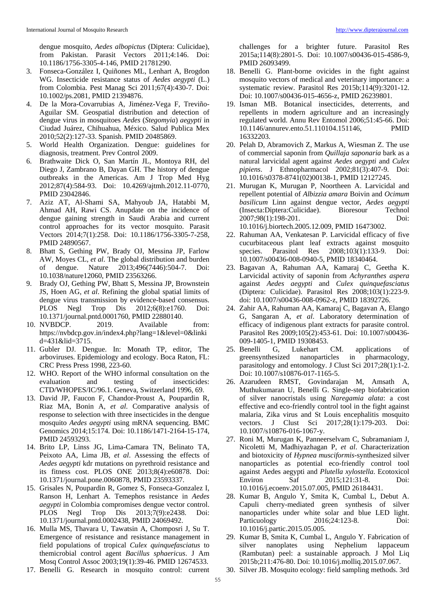dengue mosquito, *Aedes albopictus* (Diptera: Culicidae), from Pakistan. Parasit Vectors 2011;4:146. Doi: 10.1186/1756-3305-4-146, PMID 21781290.

- 3. Fonseca-González I, Quiñones ML, Lenhart A, Brogdon WG. Insecticide resistance status of *Aedes aegypti* (L.) from Colombia. Pest Manag Sci 2011;67(4):430-7. Doi: 10.1002/ps.2081, PMID 21394876.
- 4. De la Mora-Covarrubias A, Jiménez-Vega F, Treviño-Aguilar SM. Geospatial distribution and detection of dengue virus in mosquitoes *Aedes* (*Stegomyia*) *aegypti* in Ciudad Juárez, Chihuahua, México. Salud Publica Mex 2010;52(2):127-33. Spanish. PMID 20485869.
- 5. World Health Organization. Dengue: guidelines for diagnosis, treatment. Prev Control 2009.
- 6. Brathwaite Dick O, San Martín JL, Montoya RH, del Diego J, Zambrano B, Dayan GH. The history of dengue outbreaks in the Americas. Am J Trop Med Hyg 2012;87(4):584-93. Doi: 10.4269/ajtmh.2012.11-0770, PMID 23042846.
- 7. Aziz AT, Al-Shami SA, Mahyoub JA, Hatabbi M, Ahmad AH, Rawi CS. Anupdate on the incidence of dengue gaining strength in Saudi Arabia and current control approaches for its vector mosquito. Parasit Vectors 2014;7(1):258. Doi: 10.1186/1756-3305-7-258, PMID 24890567.
- 8. Bhatt S, Gething PW, Brady OJ, Messina JP, Farlow AW, Moyes CL, *et al*. The global distribution and burden of dengue. Nature 2013;496(7446):504-7. Doi: 10.1038/nature12060, PMID 23563266.
- 9. Brady OJ, Gething PW, Bhatt S, Messina JP, Brownstein JS, Hoen AG, *et al*. Refining the global spatial limits of dengue virus transmission by evidence-based consensus. PLOS Negl Trop Dis 2012;6(8):e1760. Doi: 10.1371/journal.pntd.0001760, PMID 22880140.
- 10. NVBDCP. 2019. Available from: https://nvbdcp.gov.in/index4.php?lang=1&level=0&linki d=431&lid=3715.
- 11. Gubler DJ. Dengue. In: Monath TP, editor, The arboviruses. Epidemiology and ecology. Boca Raton, FL: CRC Press Press 1998, 223-60.
- 12. WHO. Report of the WHO informal consultation on the evaluation and testing of insecticides: CTD/WHOPES/IC/96.1. Geneva, Switzerland 1996, 69.
- 13. David JP, Faucon F, Chandor-Proust A, Poupardin R, Riaz MA, Bonin A, *et al*. Comparative analysis of response to selection with three insecticides in the dengue mosquito *Aedes aegypti* using mRNA sequencing. BMC Genomics 2014;15:174. Doi: 10.1186/1471-2164-15-174, PMID 24593293.
- 14. Brito LP, Linss JG, Lima-Camara TN, Belinato TA, Peixoto AA, Lima JB, *et al*. Assessing the effects of *Aedes aegypti* kdr mutations on pyrethroid resistance and its fitness cost. PLOS ONE 2013;8(4):e60878. Doi: 10.1371/journal.pone.0060878, PMID 23593337.
- 15. Grisales N, Poupardin R, Gomez S, Fonseca-Gonzalez I, Ranson H, Lenhart A. Temephos resistance in *Aedes aegypti* in Colombia compromises dengue vector control. PLOS Negl Trop Dis 2013;7(9):e2438. Doi: 10.1371/journal.pntd.0002438, PMID 24069492.
- 16. Mulla MS, Thavara U, Tawatsin A, Chomposri J, Su T. Emergence of resistance and resistance management in field populations of tropical *Culex quinquefasciatus* to themicrobial control agent *Bacillus sphaericus*. J Am Mosq Control Assoc 2003;19(1):39-46. PMID 12674533.
- 17. Benelli G. Research in mosquito control: current

challenges for a brighter future. Parasitol Res 2015a;114(8):2801-5. Doi: 10.1007/s00436-015-4586-9, PMID 26093499.

- 18. Benelli G. Plant-borne ovicides in the fight against mosquito vectors of medical and veterinary importance: a systematic review. Parasitol Res 2015b;114(9):3201-12. Doi: 10.1007/s00436-015-4656-z, PMID 26239801.
- 19. Isman MB. Botanical insecticides, deterrents, and repellents in modern agriculture and an increasingly regulated world. Annu Rev Entomol 2006;51:45-66. Doi: 10.1146/annurev.ento.51.110104.151146, PMID 16332203.
- 20. Pelah D, Abramovich Z, Markus A, Wiesman Z. The use of commercial saponin from *Quillaja saponaria* bark as a natural larvicidal agent against *Aedes aegypti* and *Culex pipiens*. J Ethnopharmacol 2002;81(3):407-9. Doi: 10.1016/s0378-8741(02)00138-1, PMID 12127245.
- 21. Murugan K, Murugan P, Noortheen A. Larvicidal and repellent potential of *Albizzia amara* Boivin and *Ocimum basilicum* Linn against dengue vector, *Aedes aegypti* (Insecta:Diptera:Culicidae). Bioresour Technol 2007;98(1):198-201. Doi: 10.1016/j.biortech.2005.12.009, PMID 16473002.
- 22. Rahuman AA, Venkatesan P. Larvicidal efficacy of five cucurbitaceous plant leaf extracts against mosquito species. Parasitol Res 2008;103(1):133-9. Doi: Parasitol Res 2008;103(1):133-9. Doi: 10.1007/s00436-008-0940-5, PMID 18340464.
- 23. Bagavan A, Rahuman AA, Kamaraj C, Geetha K. Larvicidal activity of saponin from *Achyranthes aspera* against *Aedes aegypti* and *Culex quinquefasciatus* (Diptera: Culicidae). Parasitol Res 2008;103(1):223-9. doi: 10.1007/s00436-008-0962-z, PMID 18392726.
- 24. Zahir AA, Rahuman AA, Kamaraj C, Bagavan A, Elango G, Sangaran A, *et al*. Laboratory determination of efficacy of indigenous plant extracts for parasite control. Parasitol Res 2009;105(2):453-61. Doi: 10.1007/s00436- 009-1405-1, PMID 19308453.
- 25. Benelli G, Lukehart CM. applications of greensynthesized nanoparticles in pharmacology, parasitology and entomology. J Clust Sci 2017;28(1):1-2. Doi: 10.1007/s10876-017-1165-5.
- 26. Azarudeen RMST, Govindarajan M, Amsath A, Muthukumaran U, Benelli G. Single-step biofabrication of silver nanocristals using *Naregamia alata*: a cost effective and eco-friendly control tool in the fight against malaria, Zika virus and St Louis encephalitis mosquito vectors. J Clust Sci 2017;28(1):179-203. Doi: 10.1007/s10876-016-1067-y.
- 27. Roni M, Murugan K, Panneerselvam C, Subramaniam J, Nicoletti M, Madhiyazhagan P, *et al*. Characterization and biotoxicity of *Hypnea musciformis*-synthesized silver nanoparticles as potential eco-friendly control tool against Aedes aegypti and *Plutella xylostella*. Ecotoxicol Environ Saf 2015;121:31-8. Doi: 10.1016/j.ecoenv.2015.07.005, PMID 26184431.
- 28. Kumar B, Angulo Y, Smita K, Cumbal L, Debut A. Capuli cherry-mediated green synthesis of silver nanoparticles under white solar and blue LED light. Particuology 2016;24:123-8. Doi: 10.1016/j.partic.2015.05.005.
- 29. Kumar B, Smita K, Cumbal L, Angulo Y. Fabrication of silver nanoplates using Nephelium lappaceum (Rambutan) peel: a sustainable approach. J Mol Liq 2015b;211:476-80. Doi: 10.1016/j.molliq.2015.07.067.
- 30. Silver JB. Mosquito ecology: field sampling methods. 3rd